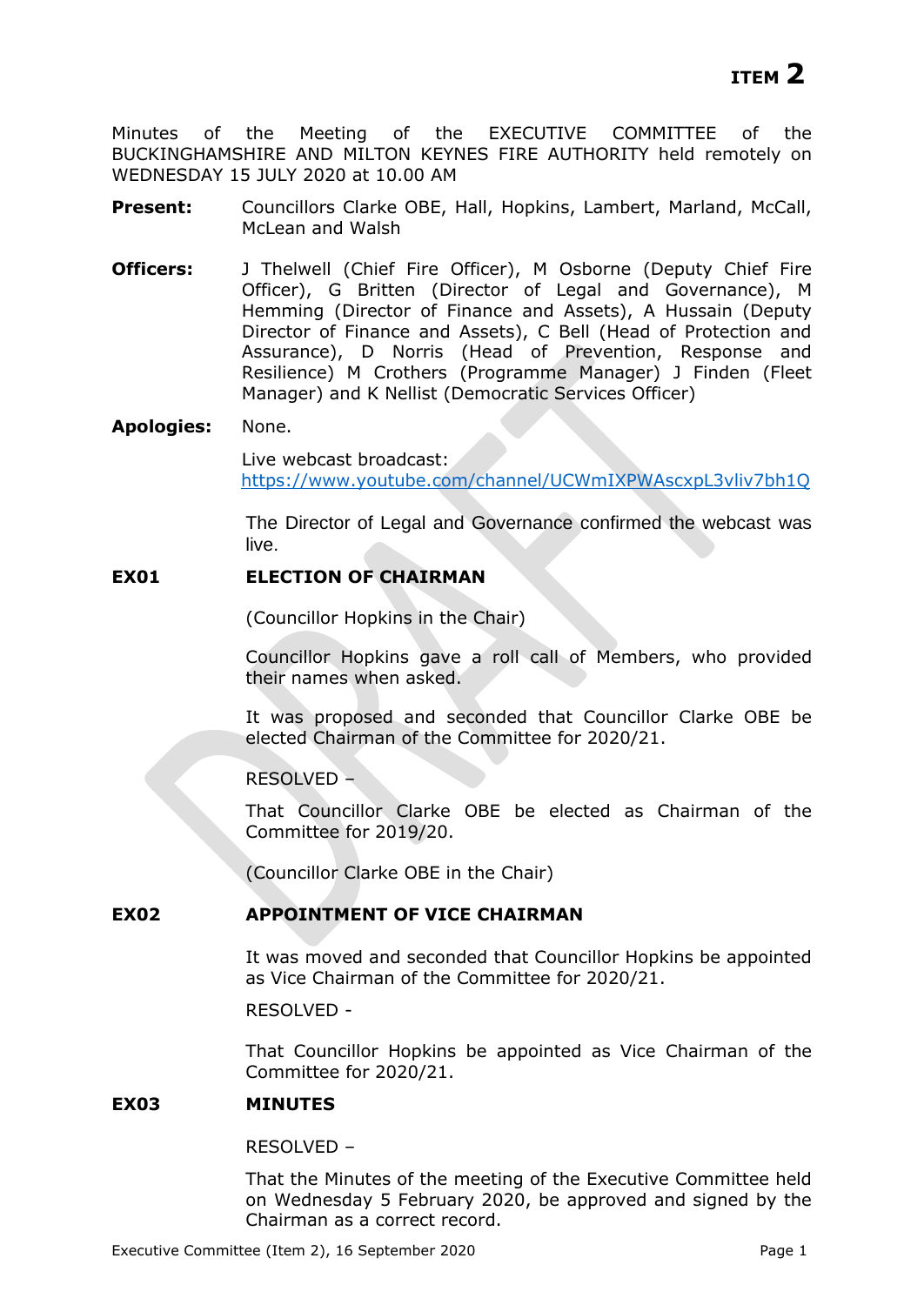Minutes of the Meeting of the EXECUTIVE COMMITTEE of the BUCKINGHAMSHIRE AND MILTON KEYNES FIRE AUTHORITY held remotely on WEDNESDAY 15 JULY 2020 at 10.00 AM

- **Present:** Councillors Clarke OBE, Hall, Hopkins, Lambert, Marland, McCall, McLean and Walsh
- **Officers:** J Thelwell (Chief Fire Officer), M Osborne (Deputy Chief Fire Officer), G Britten (Director of Legal and Governance), M Hemming (Director of Finance and Assets), A Hussain (Deputy Director of Finance and Assets), C Bell (Head of Protection and Assurance), D Norris (Head of Prevention, Response and Resilience) M Crothers (Programme Manager) J Finden (Fleet Manager) and K Nellist (Democratic Services Officer)

#### **Apologies:** None.

Live webcast broadcast: <https://www.youtube.com/channel/UCWmIXPWAscxpL3vliv7bh1Q>

The Director of Legal and Governance confirmed the webcast was live.

# **EX01 ELECTION OF CHAIRMAN**

(Councillor Hopkins in the Chair)

Councillor Hopkins gave a roll call of Members, who provided their names when asked.

It was proposed and seconded that Councillor Clarke OBE be elected Chairman of the Committee for 2020/21.

RESOLVED –

That Councillor Clarke OBE be elected as Chairman of the Committee for 2019/20.

(Councillor Clarke OBE in the Chair)

# **EX02 APPOINTMENT OF VICE CHAIRMAN**

It was moved and seconded that Councillor Hopkins be appointed as Vice Chairman of the Committee for 2020/21.

RESOLVED -

That Councillor Hopkins be appointed as Vice Chairman of the Committee for 2020/21.

## **EX03 MINUTES**

RESOLVED –

That the Minutes of the meeting of the Executive Committee held on Wednesday 5 February 2020, be approved and signed by the Chairman as a correct record.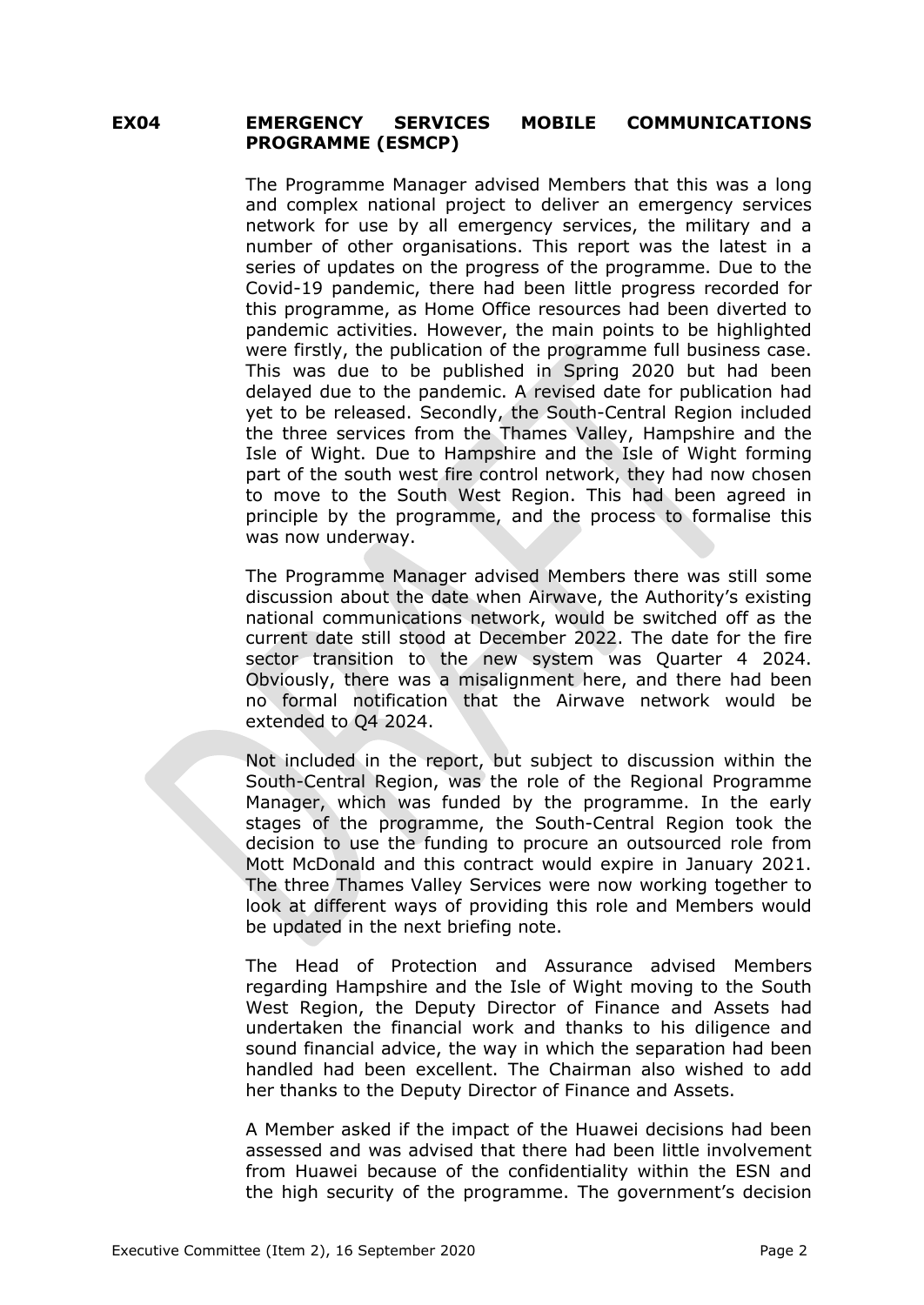# **EX04 EMERGENCY SERVICES MOBILE COMMUNICATIONS PROGRAMME (ESMCP)**

The Programme Manager advised Members that this was a long and complex national project to deliver an emergency services network for use by all emergency services, the military and a number of other organisations. This report was the latest in a series of updates on the progress of the programme. Due to the Covid-19 pandemic, there had been little progress recorded for this programme, as Home Office resources had been diverted to pandemic activities. However, the main points to be highlighted were firstly, the publication of the programme full business case. This was due to be published in Spring 2020 but had been delayed due to the pandemic. A revised date for publication had yet to be released. Secondly, the South-Central Region included the three services from the Thames Valley, Hampshire and the Isle of Wight. Due to Hampshire and the Isle of Wight forming part of the south west fire control network, they had now chosen to move to the South West Region. This had been agreed in principle by the programme, and the process to formalise this was now underway.

The Programme Manager advised Members there was still some discussion about the date when Airwave, the Authority's existing national communications network, would be switched off as the current date still stood at December 2022. The date for the fire sector transition to the new system was Quarter 4 2024. Obviously, there was a misalignment here, and there had been no formal notification that the Airwave network would be extended to Q4 2024.

Not included in the report, but subject to discussion within the South-Central Region, was the role of the Regional Programme Manager, which was funded by the programme. In the early stages of the programme, the South-Central Region took the decision to use the funding to procure an outsourced role from Mott McDonald and this contract would expire in January 2021. The three Thames Valley Services were now working together to look at different ways of providing this role and Members would be updated in the next briefing note.

The Head of Protection and Assurance advised Members regarding Hampshire and the Isle of Wight moving to the South West Region, the Deputy Director of Finance and Assets had undertaken the financial work and thanks to his diligence and sound financial advice, the way in which the separation had been handled had been excellent. The Chairman also wished to add her thanks to the Deputy Director of Finance and Assets.

A Member asked if the impact of the Huawei decisions had been assessed and was advised that there had been little involvement from Huawei because of the confidentiality within the ESN and the high security of the programme. The government's decision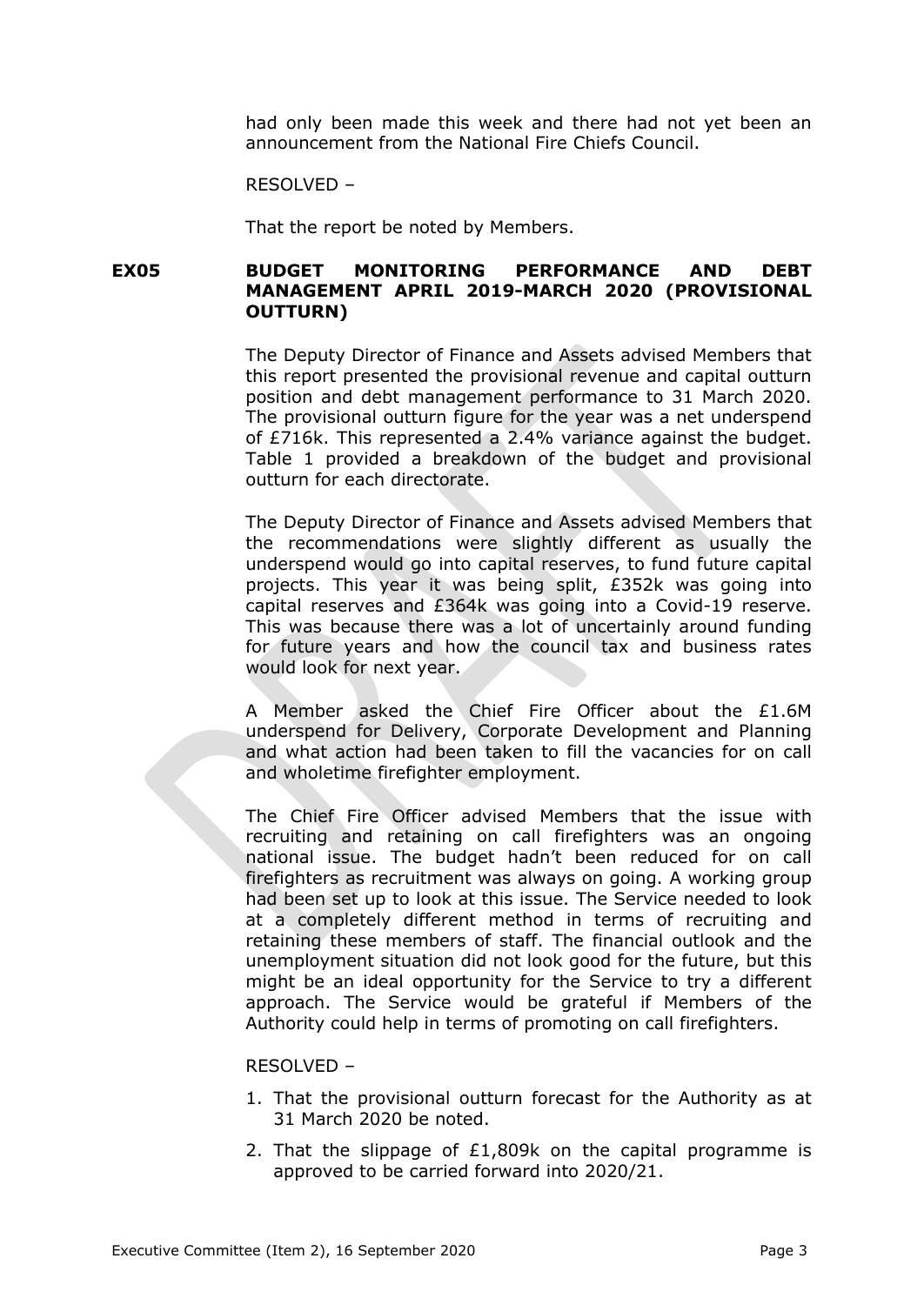had only been made this week and there had not yet been an announcement from the National Fire Chiefs Council.

RESOLVED –

That the report be noted by Members.

# **EX05 BUDGET MONITORING PERFORMANCE AND DEBT MANAGEMENT APRIL 2019-MARCH 2020 (PROVISIONAL OUTTURN)**

The Deputy Director of Finance and Assets advised Members that this report presented the provisional revenue and capital outturn position and debt management performance to 31 March 2020. The provisional outturn figure for the year was a net underspend of £716k. This represented a 2.4% variance against the budget. Table 1 provided a breakdown of the budget and provisional outturn for each directorate.

The Deputy Director of Finance and Assets advised Members that the recommendations were slightly different as usually the underspend would go into capital reserves, to fund future capital projects. This year it was being split, £352k was going into capital reserves and £364k was going into a Covid-19 reserve. This was because there was a lot of uncertainly around funding for future years and how the council tax and business rates would look for next year.

A Member asked the Chief Fire Officer about the £1.6M underspend for Delivery, Corporate Development and Planning and what action had been taken to fill the vacancies for on call and wholetime firefighter employment.

The Chief Fire Officer advised Members that the issue with recruiting and retaining on call firefighters was an ongoing national issue. The budget hadn't been reduced for on call firefighters as recruitment was always on going. A working group had been set up to look at this issue. The Service needed to look at a completely different method in terms of recruiting and retaining these members of staff. The financial outlook and the unemployment situation did not look good for the future, but this might be an ideal opportunity for the Service to try a different approach. The Service would be grateful if Members of the Authority could help in terms of promoting on call firefighters.

#### RESOLVED –

- 1. That the provisional outturn forecast for the Authority as at 31 March 2020 be noted.
- 2. That the slippage of £1,809k on the capital programme is approved to be carried forward into 2020/21.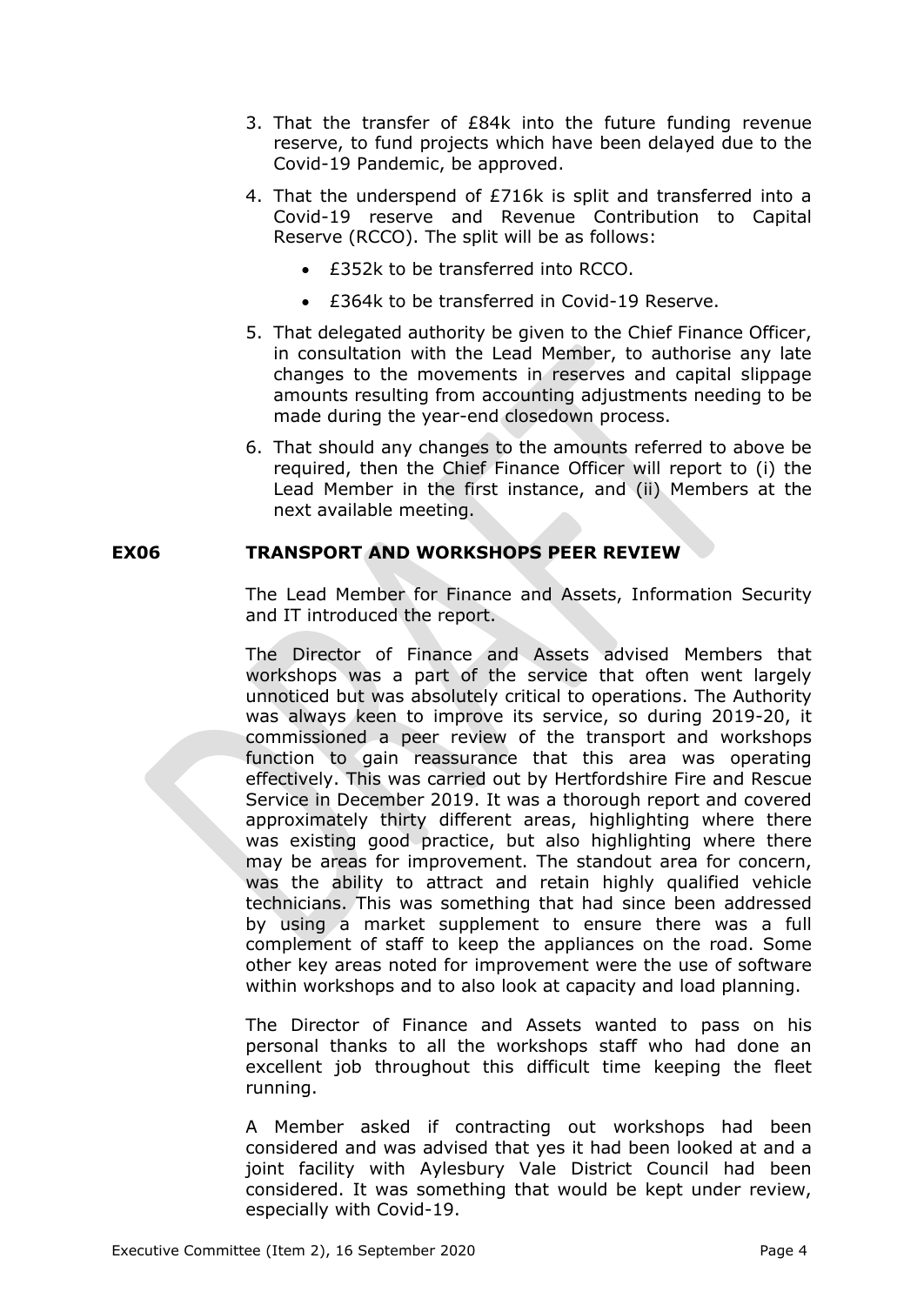- 3. That the transfer of £84k into the future funding revenue reserve, to fund projects which have been delayed due to the Covid-19 Pandemic, be approved.
- 4. That the underspend of £716k is split and transferred into a Covid-19 reserve and Revenue Contribution to Capital Reserve (RCCO). The split will be as follows:
	- £352k to be transferred into RCCO.
	- £364k to be transferred in Covid-19 Reserve.
- 5. That delegated authority be given to the Chief Finance Officer, in consultation with the Lead Member, to authorise any late changes to the movements in reserves and capital slippage amounts resulting from accounting adjustments needing to be made during the year-end closedown process.
- 6. That should any changes to the amounts referred to above be required, then the Chief Finance Officer will report to (i) the Lead Member in the first instance, and (ii) Members at the next available meeting.

# **EX06 TRANSPORT AND WORKSHOPS PEER REVIEW**

The Lead Member for Finance and Assets, Information Security and IT introduced the report.

The Director of Finance and Assets advised Members that workshops was a part of the service that often went largely unnoticed but was absolutely critical to operations. The Authority was always keen to improve its service, so during 2019-20, it commissioned a peer review of the transport and workshops function to gain reassurance that this area was operating effectively. This was carried out by Hertfordshire Fire and Rescue Service in December 2019. It was a thorough report and covered approximately thirty different areas, highlighting where there was existing good practice, but also highlighting where there may be areas for improvement. The standout area for concern, was the ability to attract and retain highly qualified vehicle technicians. This was something that had since been addressed by using a market supplement to ensure there was a full complement of staff to keep the appliances on the road. Some other key areas noted for improvement were the use of software within workshops and to also look at capacity and load planning.

The Director of Finance and Assets wanted to pass on his personal thanks to all the workshops staff who had done an excellent job throughout this difficult time keeping the fleet running.

A Member asked if contracting out workshops had been considered and was advised that yes it had been looked at and a joint facility with Aylesbury Vale District Council had been considered. It was something that would be kept under review, especially with Covid-19.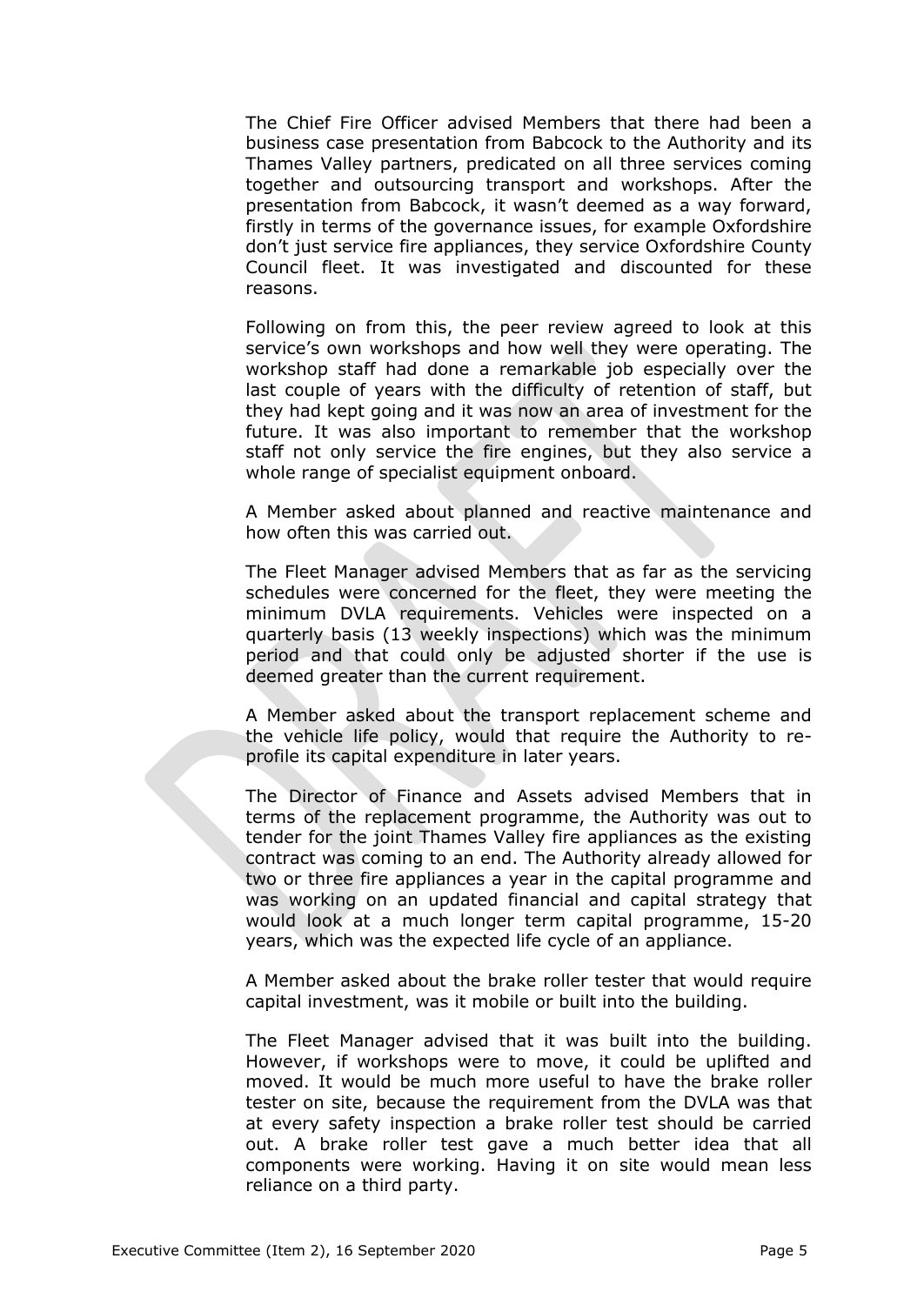The Chief Fire Officer advised Members that there had been a business case presentation from Babcock to the Authority and its Thames Valley partners, predicated on all three services coming together and outsourcing transport and workshops. After the presentation from Babcock, it wasn't deemed as a way forward, firstly in terms of the governance issues, for example Oxfordshire don't just service fire appliances, they service Oxfordshire County Council fleet. It was investigated and discounted for these reasons.

Following on from this, the peer review agreed to look at this service's own workshops and how well they were operating. The workshop staff had done a remarkable job especially over the last couple of years with the difficulty of retention of staff, but they had kept going and it was now an area of investment for the future. It was also important to remember that the workshop staff not only service the fire engines, but they also service a whole range of specialist equipment onboard.

A Member asked about planned and reactive maintenance and how often this was carried out.

The Fleet Manager advised Members that as far as the servicing schedules were concerned for the fleet, they were meeting the minimum DVLA requirements. Vehicles were inspected on a quarterly basis (13 weekly inspections) which was the minimum period and that could only be adjusted shorter if the use is deemed greater than the current requirement.

A Member asked about the transport replacement scheme and the vehicle life policy, would that require the Authority to reprofile its capital expenditure in later years.

The Director of Finance and Assets advised Members that in terms of the replacement programme, the Authority was out to tender for the joint Thames Valley fire appliances as the existing contract was coming to an end. The Authority already allowed for two or three fire appliances a year in the capital programme and was working on an updated financial and capital strategy that would look at a much longer term capital programme, 15-20 years, which was the expected life cycle of an appliance.

A Member asked about the brake roller tester that would require capital investment, was it mobile or built into the building.

The Fleet Manager advised that it was built into the building. However, if workshops were to move, it could be uplifted and moved. It would be much more useful to have the brake roller tester on site, because the requirement from the DVLA was that at every safety inspection a brake roller test should be carried out. A brake roller test gave a much better idea that all components were working. Having it on site would mean less reliance on a third party.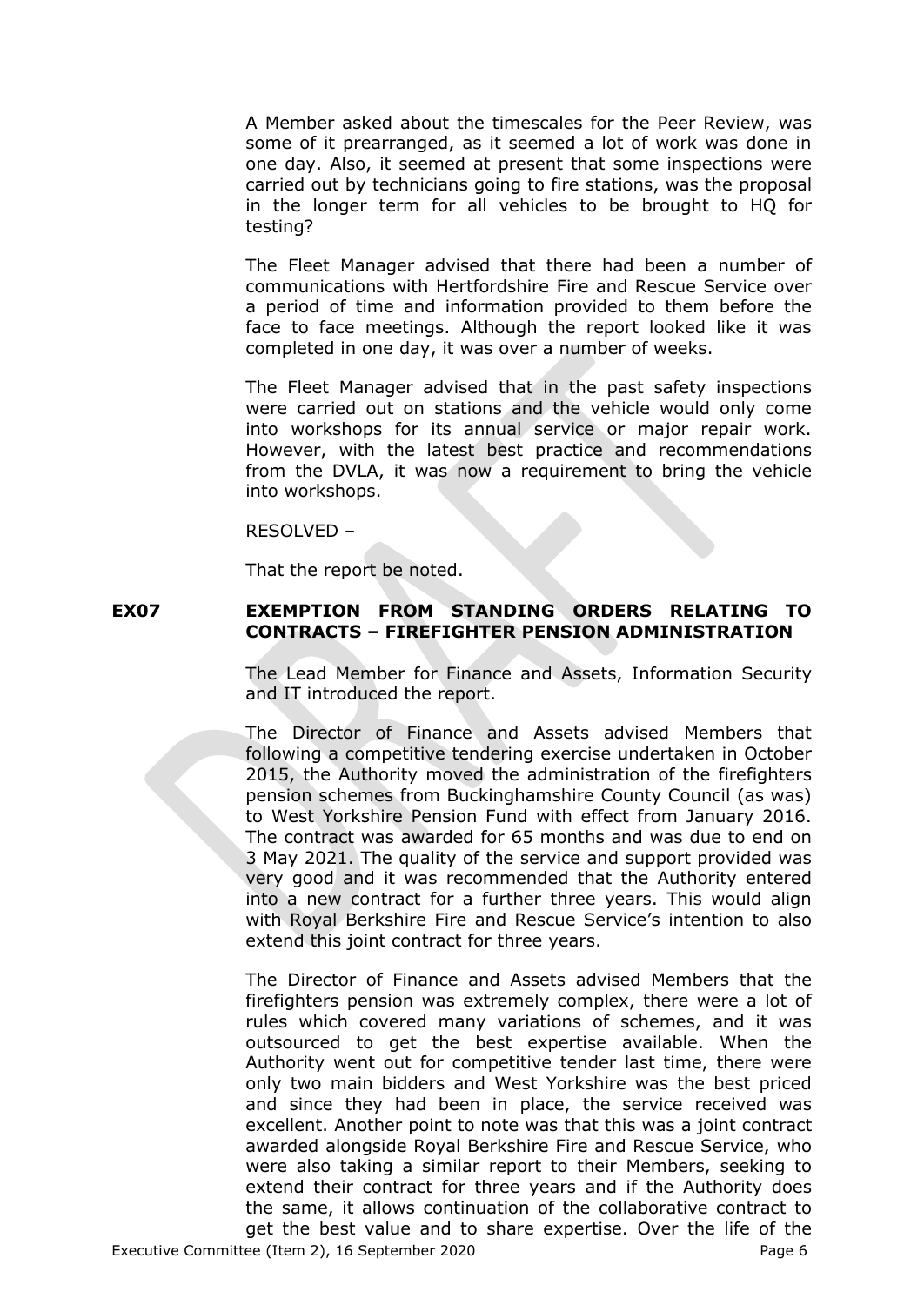A Member asked about the timescales for the Peer Review, was some of it prearranged, as it seemed a lot of work was done in one day. Also, it seemed at present that some inspections were carried out by technicians going to fire stations, was the proposal in the longer term for all vehicles to be brought to HQ for testing?

The Fleet Manager advised that there had been a number of communications with Hertfordshire Fire and Rescue Service over a period of time and information provided to them before the face to face meetings. Although the report looked like it was completed in one day, it was over a number of weeks.

The Fleet Manager advised that in the past safety inspections were carried out on stations and the vehicle would only come into workshops for its annual service or major repair work. However, with the latest best practice and recommendations from the DVLA, it was now a requirement to bring the vehicle into workshops.

RESOLVED –

That the report be noted.

# **EX07 EXEMPTION FROM STANDING ORDERS RELATING TO CONTRACTS – FIREFIGHTER PENSION ADMINISTRATION**

The Lead Member for Finance and Assets, Information Security and IT introduced the report.

The Director of Finance and Assets advised Members that following a competitive tendering exercise undertaken in October 2015, the Authority moved the administration of the firefighters pension schemes from Buckinghamshire County Council (as was) to West Yorkshire Pension Fund with effect from January 2016. The contract was awarded for 65 months and was due to end on 3 May 2021. The quality of the service and support provided was very good and it was recommended that the Authority entered into a new contract for a further three years. This would align with Royal Berkshire Fire and Rescue Service's intention to also extend this joint contract for three years.

The Director of Finance and Assets advised Members that the firefighters pension was extremely complex, there were a lot of rules which covered many variations of schemes, and it was outsourced to get the best expertise available. When the Authority went out for competitive tender last time, there were only two main bidders and West Yorkshire was the best priced and since they had been in place, the service received was excellent. Another point to note was that this was a joint contract awarded alongside Royal Berkshire Fire and Rescue Service, who were also taking a similar report to their Members, seeking to extend their contract for three years and if the Authority does the same, it allows continuation of the collaborative contract to get the best value and to share expertise. Over the life of the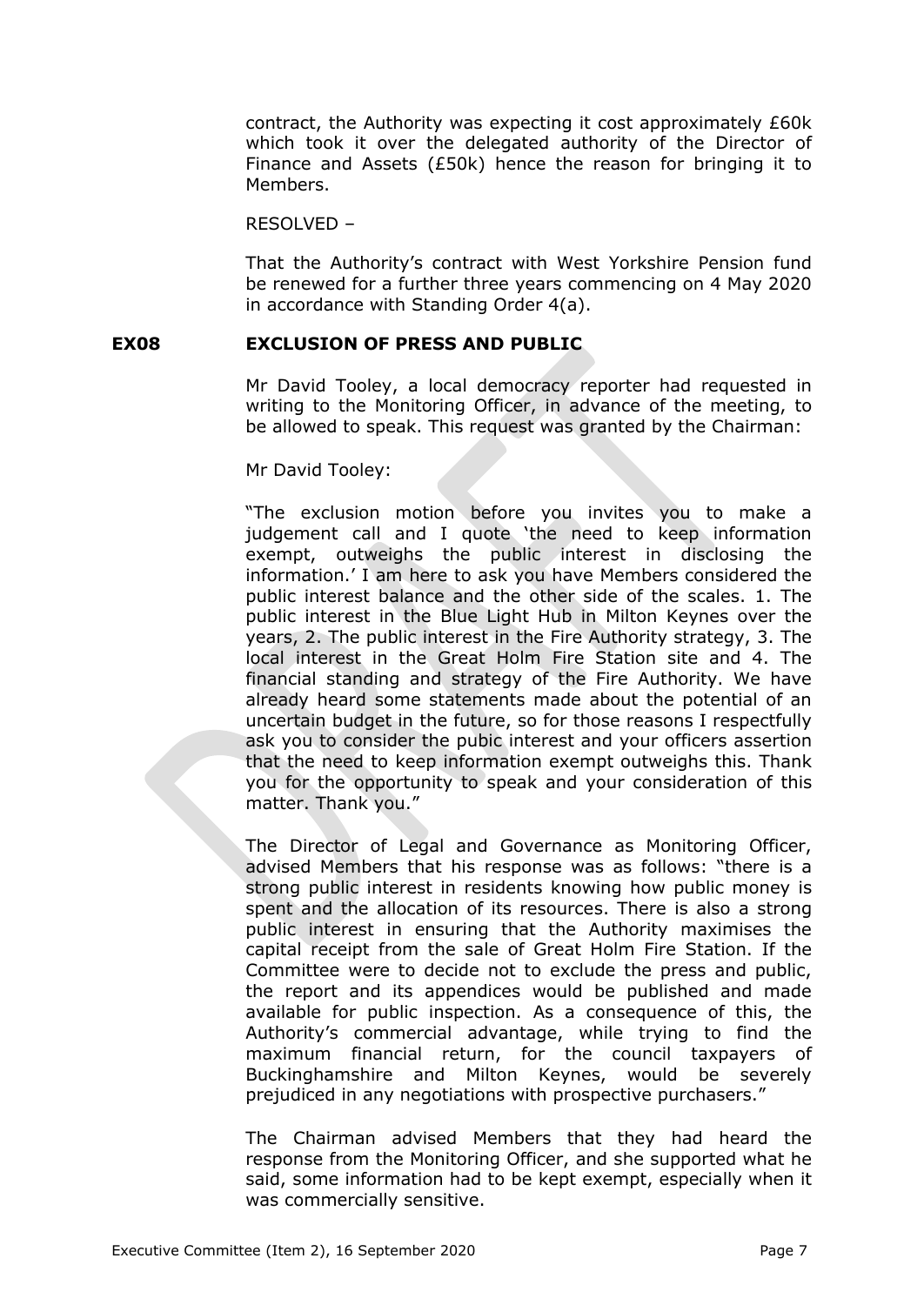contract, the Authority was expecting it cost approximately £60k which took it over the delegated authority of the Director of Finance and Assets (£50k) hence the reason for bringing it to Members.

RESOLVED –

That the Authority's contract with West Yorkshire Pension fund be renewed for a further three years commencing on 4 May 2020 in accordance with Standing Order 4(a).

#### **EX08 EXCLUSION OF PRESS AND PUBLIC**

Mr David Tooley, a local democracy reporter had requested in writing to the Monitoring Officer, in advance of the meeting, to be allowed to speak. This request was granted by the Chairman:

Mr David Tooley:

"The exclusion motion before you invites you to make a judgement call and I quote 'the need to keep information exempt, outweighs the public interest in disclosing the information.' I am here to ask you have Members considered the public interest balance and the other side of the scales. 1. The public interest in the Blue Light Hub in Milton Keynes over the years, 2. The public interest in the Fire Authority strategy, 3. The local interest in the Great Holm Fire Station site and 4. The financial standing and strategy of the Fire Authority. We have already heard some statements made about the potential of an uncertain budget in the future, so for those reasons I respectfully ask you to consider the pubic interest and your officers assertion that the need to keep information exempt outweighs this. Thank you for the opportunity to speak and your consideration of this matter. Thank you."

The Director of Legal and Governance as Monitoring Officer, advised Members that his response was as follows: "there is a strong public interest in residents knowing how public money is spent and the allocation of its resources. There is also a strong public interest in ensuring that the Authority maximises the capital receipt from the sale of Great Holm Fire Station. If the Committee were to decide not to exclude the press and public, the report and its appendices would be published and made available for public inspection. As a consequence of this, the Authority's commercial advantage, while trying to find the maximum financial return, for the council taxpayers of Buckinghamshire and Milton Keynes, would be severely prejudiced in any negotiations with prospective purchasers."

The Chairman advised Members that they had heard the response from the Monitoring Officer, and she supported what he said, some information had to be kept exempt, especially when it was commercially sensitive.